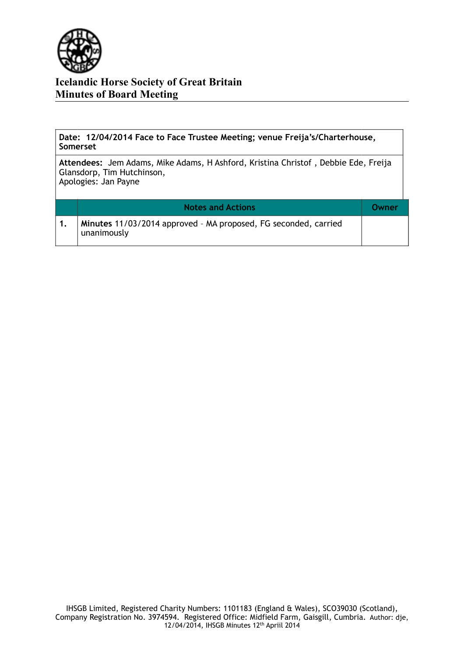

**Date: 12/04/2014 Face to Face Trustee Meeting; venue Freija's/Charterhouse, Somerset**

**Attendees:** Jem Adams, Mike Adams, H Ashford, Kristina Christof , Debbie Ede, Freija Glansdorp, Tim Hutchinson, Apologies: Jan Payne

| <b>Notes and Actions</b>                                                       | Owner |
|--------------------------------------------------------------------------------|-------|
| Minutes 11/03/2014 approved - MA proposed, FG seconded, carried<br>unanimously |       |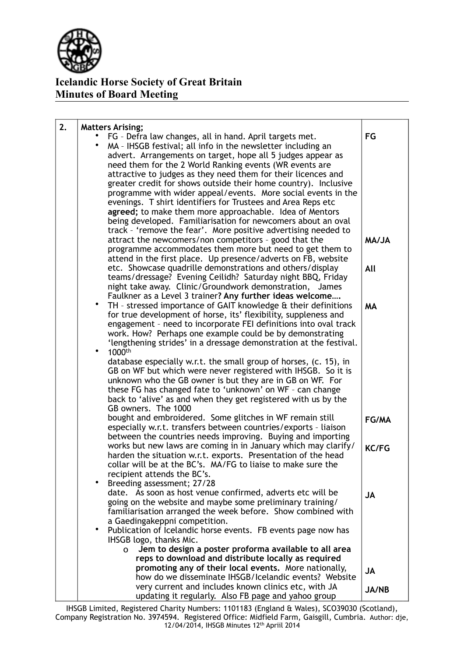

| 2. | <b>Matters Arising;</b>                                                                                                           |              |
|----|-----------------------------------------------------------------------------------------------------------------------------------|--------------|
|    | FG - Defra law changes, all in hand. April targets met.                                                                           | FG           |
|    | MA - IHSGB festival; all info in the newsletter including an                                                                      |              |
|    | advert. Arrangements on target, hope all 5 judges appear as                                                                       |              |
|    | need them for the 2 World Ranking events (WR events are                                                                           |              |
|    | attractive to judges as they need them for their licences and                                                                     |              |
|    | greater credit for shows outside their home country). Inclusive                                                                   |              |
|    | programme with wider appeal/events. More social events in the<br>evenings. T shirt identifiers for Trustees and Area Reps etc     |              |
|    | agreed; to make them more approachable. Idea of Mentors                                                                           |              |
|    | being developed. Familiarisation for newcomers about an oval                                                                      |              |
|    | track - 'remove the fear'. More positive advertising needed to                                                                    |              |
|    | attract the newcomers/non competitors - good that the                                                                             | <b>AL\AM</b> |
|    | programme accommodates them more but need to get them to                                                                          |              |
|    | attend in the first place. Up presence/adverts on FB, website                                                                     |              |
|    | etc. Showcase quadrille demonstrations and others/display                                                                         | All          |
|    | teams/dressage? Evening Ceilidh? Saturday night BBQ, Friday                                                                       |              |
|    | night take away. Clinic/Groundwork demonstration, James                                                                           |              |
|    | Faulkner as a Level 3 trainer? Any further ideas welcome<br>$\bullet$                                                             |              |
|    | TH - stressed importance of GAIT knowledge & their definitions<br>for true development of horse, its' flexibility, suppleness and | <b>MA</b>    |
|    | engagement - need to incorporate FEI definitions into oval track                                                                  |              |
|    | work. How? Perhaps one example could be by demonstrating                                                                          |              |
|    | 'lengthening strides' in a dressage demonstration at the festival.                                                                |              |
|    | 1000 <sup>th</sup>                                                                                                                |              |
|    | database especially w.r.t. the small group of horses, (c. 15), in                                                                 |              |
|    | GB on WF but which were never registered with IHSGB. So it is                                                                     |              |
|    | unknown who the GB owner is but they are in GB on WF. For                                                                         |              |
|    | these FG has changed fate to 'unknown' on WF - can change<br>back to 'alive' as and when they get registered with us by the       |              |
|    | GB owners. The 1000                                                                                                               |              |
|    | bought and embroidered. Some glitches in WF remain still                                                                          | FG/MA        |
|    | especially w.r.t. transfers between countries/exports - liaison                                                                   |              |
|    | between the countries needs improving. Buying and importing                                                                       |              |
|    | works but new laws are coming in in January which may clarify/                                                                    | <b>KC/FG</b> |
|    | harden the situation w.r.t. exports. Presentation of the head                                                                     |              |
|    | collar will be at the BC's. MA/FG to liaise to make sure the                                                                      |              |
|    | recipient attends the BC's.<br>Breeding assessment; 27/28                                                                         |              |
|    | date. As soon as host venue confirmed, adverts etc will be                                                                        | <b>JA</b>    |
|    | going on the website and maybe some preliminary training/                                                                         |              |
|    | familiarisation arranged the week before. Show combined with                                                                      |              |
|    | a Gaedingakeppni competition.                                                                                                     |              |
|    | Publication of Icelandic horse events. FB events page now has                                                                     |              |
|    | IHSGB logo, thanks Mic.<br>Jem to design a poster proforma available to all area                                                  |              |
|    | O<br>reps to download and distribute locally as required                                                                          |              |
|    | promoting any of their local events. More nationally,                                                                             |              |
|    | how do we disseminate IHSGB/Icelandic events? Website                                                                             | <b>JA</b>    |
|    | very current and includes known clinics etc, with JA                                                                              | <b>JA/NB</b> |
|    | updating it regularly. Also FB page and yahoo group                                                                               |              |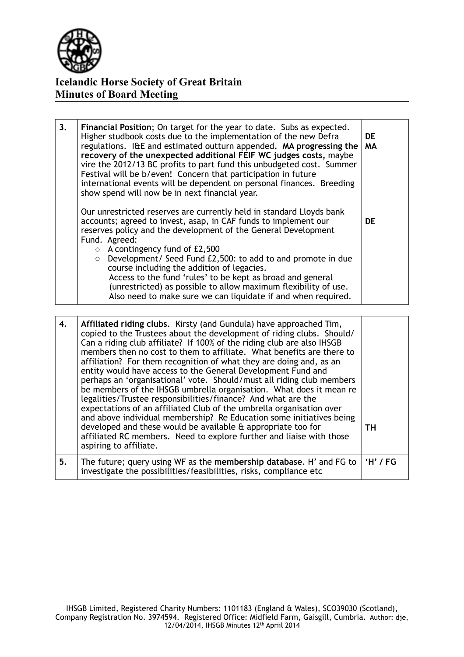

| 3. | Financial Position; On target for the year to date. Subs as expected.<br>Higher studbook costs due to the implementation of the new Defra<br>regulations. I&E and estimated outturn appended. MA progressing the<br>recovery of the unexpected additional FEIF WC judges costs, maybe<br>vire the 2012/13 BC profits to part fund this unbudgeted cost. Summer<br>Festival will be b/even! Concern that participation in future<br>international events will be dependent on personal finances. Breeding<br>show spend will now be in next financial year.                                | DE.<br><b>MA</b> |
|----|-------------------------------------------------------------------------------------------------------------------------------------------------------------------------------------------------------------------------------------------------------------------------------------------------------------------------------------------------------------------------------------------------------------------------------------------------------------------------------------------------------------------------------------------------------------------------------------------|------------------|
|    | Our unrestricted reserves are currently held in standard Lloyds bank<br>accounts; agreed to invest, asap, in CAF funds to implement our<br>reserves policy and the development of the General Development<br>Fund. Agreed:<br>$\circ$ A contingency fund of £2,500<br>$\circ$ Development/ Seed Fund £2,500: to add to and promote in due<br>course including the addition of legacies.<br>Access to the fund 'rules' to be kept as broad and general<br>(unrestricted) as possible to allow maximum flexibility of use.<br>Also need to make sure we can liquidate if and when required. | <b>DE</b>        |

| 4. | Affiliated riding clubs. Kirsty (and Gundula) have approached Tim,<br>copied to the Trustees about the development of riding clubs. Should/<br>Can a riding club affiliate? If 100% of the riding club are also IHSGB<br>members then no cost to them to affiliate. What benefits are there to<br>affiliation? For them recognition of what they are doing and, as an<br>entity would have access to the General Development Fund and<br>perhaps an 'organisational' vote. Should/must all riding club members<br>be members of the IHSGB umbrella organisation. What does it mean re<br>legalities/Trustee responsibilities/finance? And what are the<br>expectations of an affiliated Club of the umbrella organisation over<br>and above individual membership? Re Education some initiatives being<br>developed and these would be available & appropriate too for<br>affiliated RC members. Need to explore further and liaise with those<br>aspiring to affiliate. | TH.        |
|----|--------------------------------------------------------------------------------------------------------------------------------------------------------------------------------------------------------------------------------------------------------------------------------------------------------------------------------------------------------------------------------------------------------------------------------------------------------------------------------------------------------------------------------------------------------------------------------------------------------------------------------------------------------------------------------------------------------------------------------------------------------------------------------------------------------------------------------------------------------------------------------------------------------------------------------------------------------------------------|------------|
| 5. | The future; query using WF as the membership database. H' and FG to<br>investigate the possibilities/feasibilities, risks, compliance etc                                                                                                                                                                                                                                                                                                                                                                                                                                                                                                                                                                                                                                                                                                                                                                                                                                | $'H'$ / FG |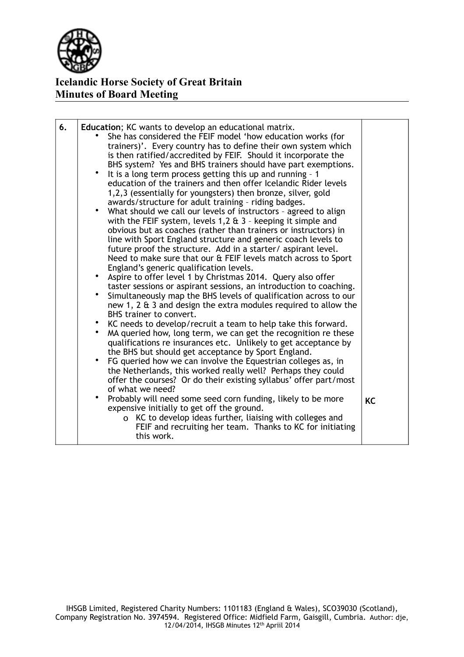

| 6. | Education; KC wants to develop an educational matrix.<br>She has considered the FEIF model 'how education works (for<br>trainers)'. Every country has to define their own system which<br>is then ratified/accredited by FEIF. Should it incorporate the<br>BHS system? Yes and BHS trainers should have part exemptions.<br>It is a long term process getting this up and running - 1<br>education of the trainers and then offer Icelandic Rider levels<br>1,2,3 (essentially for youngsters) then bronze, silver, gold<br>awards/structure for adult training - riding badges.<br>What should we call our levels of instructors - agreed to align<br>with the FEIF system, levels $1,2 \text{ ft } 3$ - keeping it simple and<br>obvious but as coaches (rather than trainers or instructors) in<br>line with Sport England structure and generic coach levels to<br>future proof the structure. Add in a starter/aspirant level.<br>Need to make sure that our & FEIF levels match across to Sport<br>England's generic qualification levels.<br>• Aspire to offer level 1 by Christmas 2014. Query also offer<br>taster sessions or aspirant sessions, an introduction to coaching.<br>Simultaneously map the BHS levels of qualification across to our<br>new 1, 2 $\&$ 3 and design the extra modules required to allow the<br>BHS trainer to convert.<br>KC needs to develop/recruit a team to help take this forward.<br>MA queried how, long term, we can get the recognition re these<br>qualifications re insurances etc. Unlikely to get acceptance by<br>the BHS but should get acceptance by Sport England.<br>$\bullet$<br>FG queried how we can involve the Equestrian colleges as, in<br>the Netherlands, this worked really well? Perhaps they could<br>offer the courses? Or do their existing syllabus' offer part/most<br>of what we need?<br>Probably will need some seed corn funding, likely to be more<br>expensive initially to get off the ground. | <b>KC</b> |
|----|--------------------------------------------------------------------------------------------------------------------------------------------------------------------------------------------------------------------------------------------------------------------------------------------------------------------------------------------------------------------------------------------------------------------------------------------------------------------------------------------------------------------------------------------------------------------------------------------------------------------------------------------------------------------------------------------------------------------------------------------------------------------------------------------------------------------------------------------------------------------------------------------------------------------------------------------------------------------------------------------------------------------------------------------------------------------------------------------------------------------------------------------------------------------------------------------------------------------------------------------------------------------------------------------------------------------------------------------------------------------------------------------------------------------------------------------------------------------------------------------------------------------------------------------------------------------------------------------------------------------------------------------------------------------------------------------------------------------------------------------------------------------------------------------------------------------------------------------------------------------------------------------------------------------------------------------------------------------------------|-----------|
|    | o KC to develop ideas further, liaising with colleges and<br>FEIF and recruiting her team. Thanks to KC for initiating<br>this work.                                                                                                                                                                                                                                                                                                                                                                                                                                                                                                                                                                                                                                                                                                                                                                                                                                                                                                                                                                                                                                                                                                                                                                                                                                                                                                                                                                                                                                                                                                                                                                                                                                                                                                                                                                                                                                           |           |